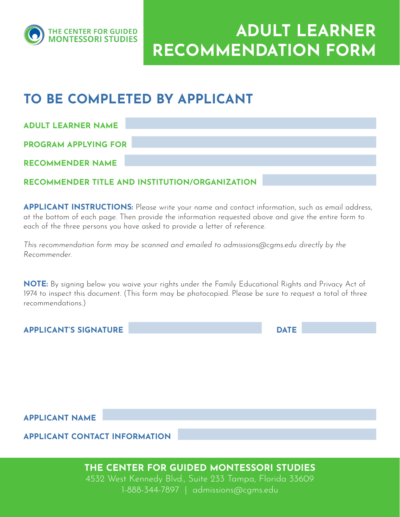

ADULT LEARNER RECOMMENDATION FORM

## TO BE COMPLETED BY APPLICANT

ADULT LEARNER NAME

PROGRAM APPLYING FOR

RECOMMENDER NAME

### RECOMMENDER TITLE AND INSTITUTION/ORGANIZATION

APPLICANT INSTRUCTIONS: Please write your name and contact information, such as email address, at the bottom of each page. Then provide the information requested above and give the entire form to each of the three persons you have asked to provide a letter of reference.

*This recommendation form may be scanned and emailed to admissions@cgms.edu directly by the Recommender.*

NOTE: By signing below you waive your rights under the Family Educational Rights and Privacy Act of 1974 to inspect this document. (This form may be photocopied. Please be sure to request a total of three recommendations.)

APPLICANT'S SIGNATURE AND A RESERVE TO A RESERVE THE DATE

APPLICANT NAME

APPLICANT CONTACT INFORMATION

THE CENTER FOR GUIDED MONTESSORI STUDIES

4532 West Kennedy Blvd., Suite 233 Tampa, Florida 33609 1-888-344-7897 | admissions@cgms.edu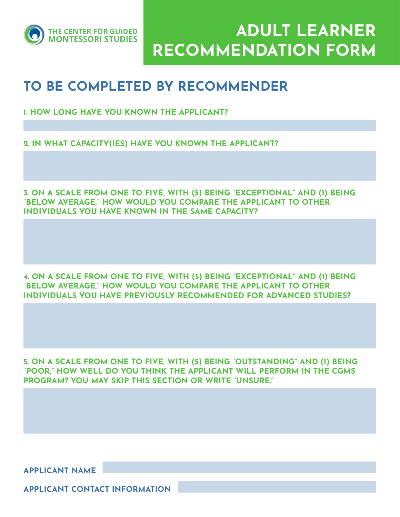

ADULT LEARNER RECOMMENDATION FORM

## TO BE COMPLETED BY RECOMMENDER

- 1. HOW LONG HAVE YOU KNOWN THE APPLICANT?
- 2. IN WHAT CAPACITY(IES) HAVE YOU KNOWN THE APPLICANT?

3. ON A SCALE FROM ONE TO FIVE, WITH (5) BEING "EXCEPTIONAL" AND (1) BEING "BELOW AVERAGE," HOW WOULD YOU COMPARE THE APPLICANT TO OTHER INDIVIDUALS YOU HAVE KNOWN IN THE SAME CAPACITY?

4. ON A SCALE FROM ONE TO FIVE, WITH (5) BEING "EXCEPTIONAL" AND (1) BEING "BELOW AVERAGE," HOW WOULD YOU COMPARE THE APPLICANT TO OTHER INDIVIDUALS YOU HAVE PREVIOUSLY RECOMMENDED FOR ADVANCED STUDIES?

5. ON A SCALE FROM ONE TO FIVE, WITH (5) BEING "OUTSTANDING" AND (1) BEING "POOR," HOW WELL DO YOU THINK THE APPLICANT WILL PERFORM IN THE CGMS PROGRAM? YOU MAY SKIP THIS SECTION OR WRITE "UNSURE."

APPLICANT NAME

APPLICANT CONTACT INFORMATION